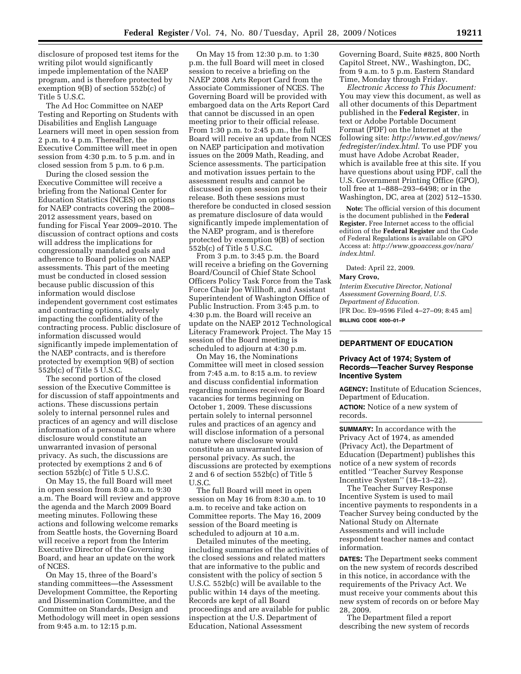disclosure of proposed test items for the writing pilot would significantly impede implementation of the NAEP program, and is therefore protected by exemption 9(B) of section 552b(c) of Title 5 U.S.C.

The Ad Hoc Committee on NAEP Testing and Reporting on Students with Disabilities and English Language Learners will meet in open session from 2 p.m. to 4 p.m. Thereafter, the Executive Committee will meet in open session from 4:30 p.m. to 5 p.m. and in closed session from 5 p.m. to 6 p.m.

During the closed session the Executive Committee will receive a briefing from the National Center for Education Statistics (NCES) on options for NAEP contracts covering the 2008– 2012 assessment years, based on funding for Fiscal Year 2009–2010. The discussion of contract options and costs will address the implications for congressionally mandated goals and adherence to Board policies on NAEP assessments. This part of the meeting must be conducted in closed session because public discussion of this information would disclose independent government cost estimates and contracting options, adversely impacting the confidentiality of the contracting process. Public disclosure of information discussed would significantly impede implementation of the NAEP contracts, and is therefore protected by exemption 9(B) of section 552b(c) of Title 5 U.S.C.

The second portion of the closed session of the Executive Committee is for discussion of staff appointments and actions. These discussions pertain solely to internal personnel rules and practices of an agency and will disclose information of a personal nature where disclosure would constitute an unwarranted invasion of personal privacy. As such, the discussions are protected by exemptions 2 and 6 of section 552b(c) of Title 5 U.S.C.

On May 15, the full Board will meet in open session from 8:30 a.m. to 9:30 a.m. The Board will review and approve the agenda and the March 2009 Board meeting minutes. Following these actions and following welcome remarks from Seattle hosts, the Governing Board will receive a report from the Interim Executive Director of the Governing Board, and hear an update on the work of NCES.

On May 15, three of the Board's standing committees—the Assessment Development Committee, the Reporting and Dissemination Committee, and the Committee on Standards, Design and Methodology will meet in open sessions from 9:45 a.m. to 12:15 p.m.

On May 15 from 12:30 p.m. to 1:30 p.m. the full Board will meet in closed session to receive a briefing on the NAEP 2008 Arts Report Card from the Associate Commissioner of NCES. The Governing Board will be provided with embargoed data on the Arts Report Card that cannot be discussed in an open meeting prior to their official release. From 1:30 p.m. to 2:45 p.m., the full Board will receive an update from NCES on NAEP participation and motivation issues on the 2009 Math, Reading, and Science assessments. The participation and motivation issues pertain to the assessment results and cannot be discussed in open session prior to their release. Both these sessions must therefore be conducted in closed session as premature disclosure of data would significantly impede implementation of the NAEP program, and is therefore protected by exemption 9(B) of section 552b(c) of Title 5 U.S.C.

From 3 p.m. to 3:45 p.m. the Board will receive a briefing on the Governing Board/Council of Chief State School Officers Policy Task Force from the Task Force Chair Joe Willhoft, and Assistant Superintendent of Washington Office of Public Instruction. From 3:45 p.m. to 4:30 p.m. the Board will receive an update on the NAEP 2012 Technological Literacy Framework Project. The May 15 session of the Board meeting is scheduled to adjourn at 4:30 p.m.

On May 16, the Nominations Committee will meet in closed session from 7:45 a.m. to 8:15 a.m. to review and discuss confidential information regarding nominees received for Board vacancies for terms beginning on October 1, 2009. These discussions pertain solely to internal personnel rules and practices of an agency and will disclose information of a personal nature where disclosure would constitute an unwarranted invasion of personal privacy. As such, the discussions are protected by exemptions 2 and 6 of section 552b(c) of Title 5 U.S.C.

The full Board will meet in open session on May 16 from 8:30 a.m. to 10 a.m. to receive and take action on Committee reports. The May 16, 2009 session of the Board meeting is scheduled to adjourn at 10 a.m.

Detailed minutes of the meeting, including summaries of the activities of the closed sessions and related matters that are informative to the public and consistent with the policy of section 5 U.S.C. 552b(c) will be available to the public within 14 days of the meeting. Records are kept of all Board proceedings and are available for public inspection at the U.S. Department of Education, National Assessment

Governing Board, Suite #825, 800 North Capitol Street, NW., Washington, DC, from 9 a.m. to 5 p.m. Eastern Standard Time, Monday through Friday.

*Electronic Access to This Document:*  You may view this document, as well as all other documents of this Department published in the **Federal Register**, in text or Adobe Portable Document Format (PDF) on the Internet at the following site: *http://www.ed.gov/news/ fedregister/index.html.* To use PDF you must have Adobe Acrobat Reader, which is available free at this site. If you have questions about using PDF, call the U.S. Government Printing Office (GPO), toll free at 1–888–293–6498; or in the Washington, DC, area at (202) 512–1530.

**Note:** The official version of this document is the document published in the **Federal Register.** Free Internet access to the official edition of the **Federal Register** and the Code of Federal Regulations is available on GPO Access at: *http://www.gpoaccess.gov/nara/ index.html.* 

Dated: April 22, 2009.

#### **Mary Crovo,**

*Interim Executive Director, National Assessment Governing Board, U.S. Department of Education.*  [FR Doc. E9–9596 Filed 4–27–09; 8:45 am] **BILLING CODE 4000–01–P** 

# **DEPARTMENT OF EDUCATION**

# **Privacy Act of 1974; System of Records—Teacher Survey Response Incentive System**

**AGENCY:** Institute of Education Sciences, Department of Education. **ACTION:** Notice of a new system of records.

**SUMMARY:** In accordance with the Privacy Act of 1974, as amended (Privacy Act), the Department of Education (Department) publishes this notice of a new system of records entitled ''Teacher Survey Response Incentive System'' (18–13–22).

The Teacher Survey Response Incentive System is used to mail incentive payments to respondents in a Teacher Survey being conducted by the National Study on Alternate Assessments and will include respondent teacher names and contact information.

**DATES:** The Department seeks comment on the new system of records described in this notice, in accordance with the requirements of the Privacy Act. We must receive your comments about this new system of records on or before May 28, 2009.

The Department filed a report describing the new system of records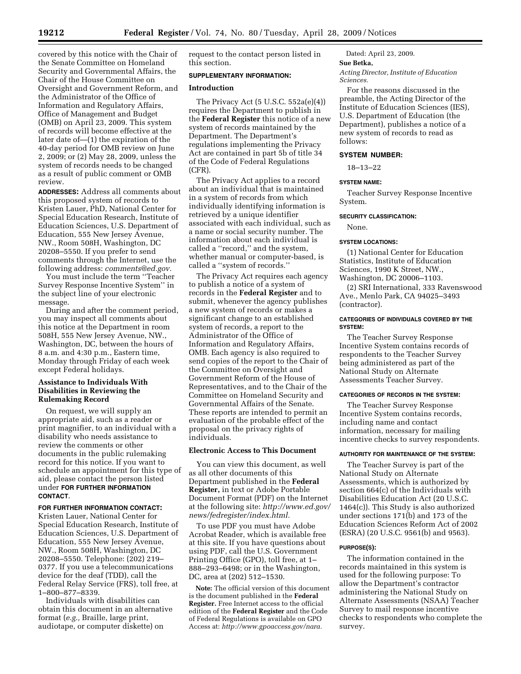covered by this notice with the Chair of the Senate Committee on Homeland Security and Governmental Affairs, the Chair of the House Committee on Oversight and Government Reform, and the Administrator of the Office of Information and Regulatory Affairs, Office of Management and Budget (OMB) on April 23, 2009. This system of records will become effective at the later date of—(1) the expiration of the 40-day period for OMB review on June 2, 2009; or (2) May 28, 2009, unless the system of records needs to be changed as a result of public comment or OMB review.

**ADDRESSES:** Address all comments about this proposed system of records to Kristen Lauer, PhD, National Center for Special Education Research, Institute of Education Sciences, U.S. Department of Education, 555 New Jersey Avenue, NW., Room 508H, Washington, DC 20208–5550. If you prefer to send comments through the Internet, use the following address: *comments@ed.gov.* 

You must include the term ''Teacher Survey Response Incentive System'' in the subject line of your electronic message.

During and after the comment period, you may inspect all comments about this notice at the Department in room 508H, 555 New Jersey Avenue, NW., Washington, DC, between the hours of 8 a.m. and 4:30 p.m., Eastern time, Monday through Friday of each week except Federal holidays.

# **Assistance to Individuals With Disabilities in Reviewing the Rulemaking Record**

On request, we will supply an appropriate aid, such as a reader or print magnifier, to an individual with a disability who needs assistance to review the comments or other documents in the public rulemaking record for this notice. If you want to schedule an appointment for this type of aid, please contact the person listed under **FOR FURTHER INFORMATION CONTACT**.

## **FOR FURTHER INFORMATION CONTACT:**

Kristen Lauer, National Center for Special Education Research, Institute of Education Sciences, U.S. Department of Education, 555 New Jersey Avenue, NW., Room 508H, Washington, DC 20208–5550. Telephone: (202) 219– 0377. If you use a telecommunications device for the deaf (TDD), call the Federal Relay Service (FRS), toll free, at 1–800–877–8339.

Individuals with disabilities can obtain this document in an alternative format (*e.g.,* Braille, large print, audiotape, or computer diskette) on

request to the contact person listed in this section.

#### **SUPPLEMENTARY INFORMATION:**

### **Introduction**

The Privacy Act (5 U.S.C. 552a(e)(4)) requires the Department to publish in the **Federal Register** this notice of a new system of records maintained by the Department. The Department's regulations implementing the Privacy Act are contained in part 5b of title 34 of the Code of Federal Regulations (CFR).

The Privacy Act applies to a record about an individual that is maintained in a system of records from which individually identifying information is retrieved by a unique identifier associated with each individual, such as a name or social security number. The information about each individual is called a ''record,'' and the system, whether manual or computer-based, is called a ''system of records.''

The Privacy Act requires each agency to publish a notice of a system of records in the **Federal Register** and to submit, whenever the agency publishes a new system of records or makes a significant change to an established system of records, a report to the Administrator of the Office of Information and Regulatory Affairs, OMB. Each agency is also required to send copies of the report to the Chair of the Committee on Oversight and Government Reform of the House of Representatives, and to the Chair of the Committee on Homeland Security and Governmental Affairs of the Senate. These reports are intended to permit an evaluation of the probable effect of the proposal on the privacy rights of individuals.

# **Electronic Access to This Document**

You can view this document, as well as all other documents of this Department published in the **Federal Register,** in text or Adobe Portable Document Format (PDF) on the Internet at the following site: *http://www.ed.gov/ news/fedregister/index.html.* 

To use PDF you must have Adobe Acrobat Reader, which is available free at this site. If you have questions about using PDF, call the U.S. Government Printing Office (GPO), toll free, at 1– 888–293–6498; or in the Washington, DC, area at (202) 512–1530.

**Note:** The official version of this document is the document published in the **Federal Register.** Free Internet access to the official edition of the **Federal Register** and the Code of Federal Regulations is available on GPO Access at: *http://www.gpoaccess.gov/nara.* 

Dated: April 23, 2009.

# **Sue Betka,**

*Acting Director, Institute of Education Sciences.* 

For the reasons discussed in the preamble, the Acting Director of the Institute of Education Sciences (IES), U.S. Department of Education (the Department), publishes a notice of a new system of records to read as follows:

## **SYSTEM NUMBER:**

18–13–22

#### **SYSTEM NAME:**

Teacher Survey Response Incentive System.

### **SECURITY CLASSIFICATION:**

None.

#### **SYSTEM LOCATIONS:**

(1) National Center for Education Statistics, Institute of Education Sciences, 1990 K Street, NW., Washington, DC 20006–1103.

(2) SRI International, 333 Ravenswood Ave., Menlo Park, CA 94025–3493 (contractor).

### **CATEGORIES OF INDIVIDUALS COVERED BY THE SYSTEM:**

The Teacher Survey Response Incentive System contains records of respondents to the Teacher Survey being administered as part of the National Study on Alternate Assessments Teacher Survey.

#### **CATEGORIES OF RECORDS IN THE SYSTEM:**

The Teacher Survey Response Incentive System contains records, including name and contact information, necessary for mailing incentive checks to survey respondents.

#### **AUTHORITY FOR MAINTENANCE OF THE SYSTEM:**

The Teacher Survey is part of the National Study on Alternate Assessments, which is authorized by section 664(c) of the Individuals with Disabilities Education Act (20 U.S.C. 1464(c)). This Study is also authorized under sections 171(b) and 173 of the Education Sciences Reform Act of 2002 (ESRA) (20 U.S.C. 9561(b) and 9563).

#### **PURPOSE(S):**

The information contained in the records maintained in this system is used for the following purpose: To allow the Department's contractor administering the National Study on Alternate Assessments (NSAA) Teacher Survey to mail response incentive checks to respondents who complete the survey.